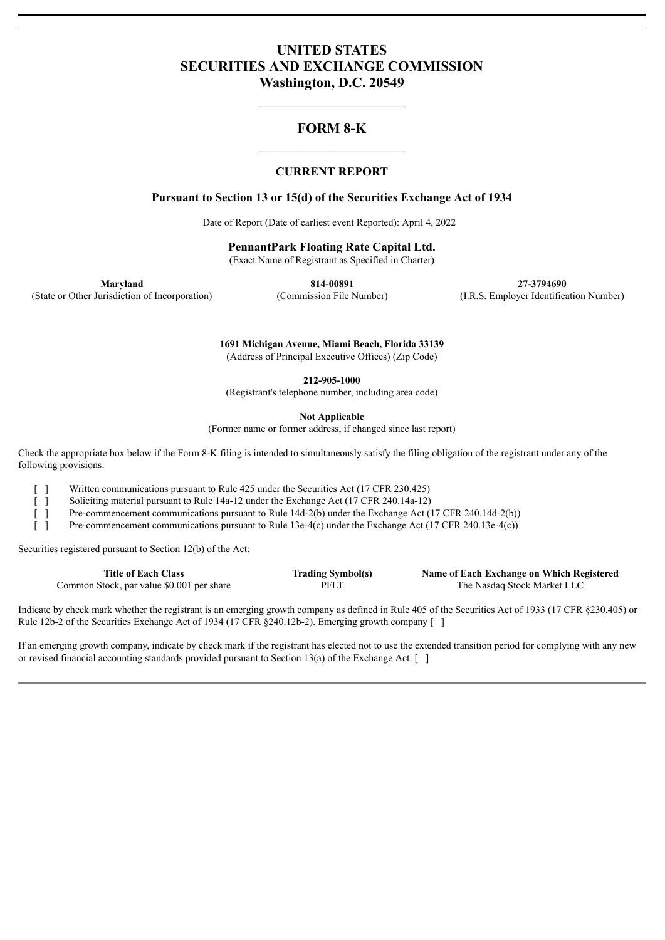# **UNITED STATES SECURITIES AND EXCHANGE COMMISSION Washington, D.C. 20549**

# **FORM 8-K**

## **CURRENT REPORT**

## **Pursuant to Section 13 or 15(d) of the Securities Exchange Act of 1934**

Date of Report (Date of earliest event Reported): April 4, 2022

**PennantPark Floating Rate Capital Ltd.**

(Exact Name of Registrant as Specified in Charter)

**Maryland 814-00891 27-3794690** (State or Other Jurisdiction of Incorporation) (Commission File Number) (I.R.S. Employer Identification Number)

> **1691 Michigan Avenue, Miami Beach, Florida 33139** (Address of Principal Executive Offices) (Zip Code)

> > **212-905-1000**

(Registrant's telephone number, including area code)

**Not Applicable**

(Former name or former address, if changed since last report)

Check the appropriate box below if the Form 8-K filing is intended to simultaneously satisfy the filing obligation of the registrant under any of the following provisions:

[ ] Written communications pursuant to Rule 425 under the Securities Act (17 CFR 230.425)

[ ] Soliciting material pursuant to Rule 14a-12 under the Exchange Act (17 CFR 240.14a-12)

[ ] Pre-commencement communications pursuant to Rule 14d-2(b) under the Exchange Act (17 CFR 240.14d-2(b))

[ ] Pre-commencement communications pursuant to Rule 13e-4(c) under the Exchange Act (17 CFR 240.13e-4(c))

Securities registered pursuant to Section 12(b) of the Act:

| <b>Title of Each Class</b>                | <b>Trading Symbol(s)</b> | Name of Each Exchange on Which Registered |
|-------------------------------------------|--------------------------|-------------------------------------------|
| Common Stock, par value \$0.001 per share | PFLT                     | The Nasdaq Stock Market LLC               |

Indicate by check mark whether the registrant is an emerging growth company as defined in Rule 405 of the Securities Act of 1933 (17 CFR §230.405) or Rule 12b-2 of the Securities Exchange Act of 1934 (17 CFR §240.12b-2). Emerging growth company [ ]

If an emerging growth company, indicate by check mark if the registrant has elected not to use the extended transition period for complying with any new or revised financial accounting standards provided pursuant to Section 13(a) of the Exchange Act.  $\lceil \ \rceil$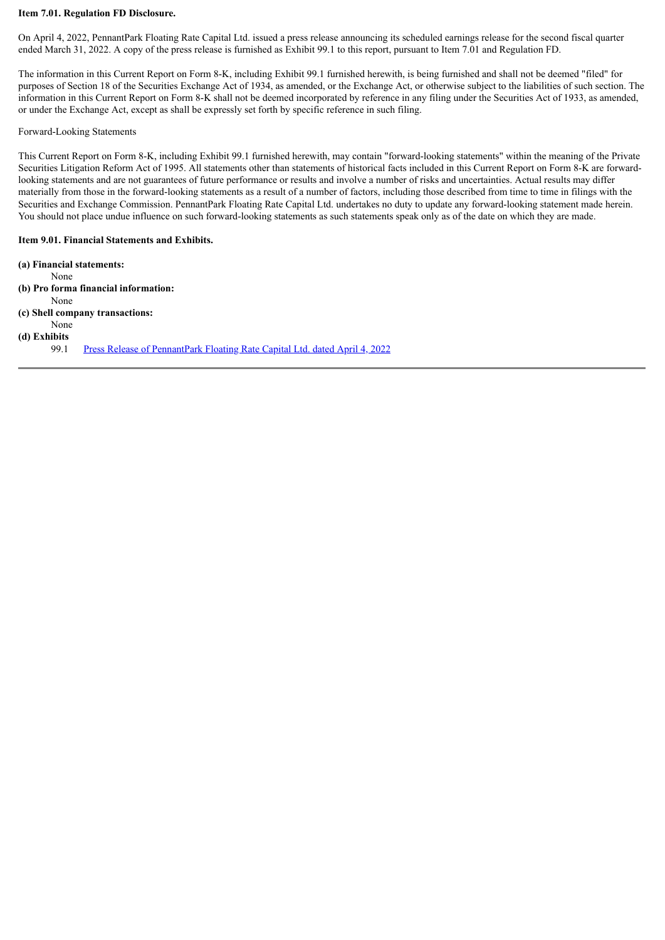### **Item 7.01. Regulation FD Disclosure.**

On April 4, 2022, PennantPark Floating Rate Capital Ltd. issued a press release announcing its scheduled earnings release for the second fiscal quarter ended March 31, 2022. A copy of the press release is furnished as Exhibit 99.1 to this report, pursuant to Item 7.01 and Regulation FD.

The information in this Current Report on Form 8-K, including Exhibit 99.1 furnished herewith, is being furnished and shall not be deemed "filed" for purposes of Section 18 of the Securities Exchange Act of 1934, as amended, or the Exchange Act, or otherwise subject to the liabilities of such section. The information in this Current Report on Form 8-K shall not be deemed incorporated by reference in any filing under the Securities Act of 1933, as amended, or under the Exchange Act, except as shall be expressly set forth by specific reference in such filing.

#### Forward-Looking Statements

This Current Report on Form 8-K, including Exhibit 99.1 furnished herewith, may contain "forward-looking statements" within the meaning of the Private Securities Litigation Reform Act of 1995. All statements other than statements of historical facts included in this Current Report on Form 8-K are forwardlooking statements and are not guarantees of future performance or results and involve a number of risks and uncertainties. Actual results may differ materially from those in the forward-looking statements as a result of a number of factors, including those described from time to time in filings with the Securities and Exchange Commission. PennantPark Floating Rate Capital Ltd. undertakes no duty to update any forward-looking statement made herein. You should not place undue influence on such forward-looking statements as such statements speak only as of the date on which they are made.

#### **Item 9.01. Financial Statements and Exhibits.**

**(a) Financial statements:** None **(b) Pro forma financial information:** None **(c) Shell company transactions:** None **(d) Exhibits** 99.1 Press Release of [PennantPark](#page-4-0) Floating Rate Capital Ltd. dated April 4, 2022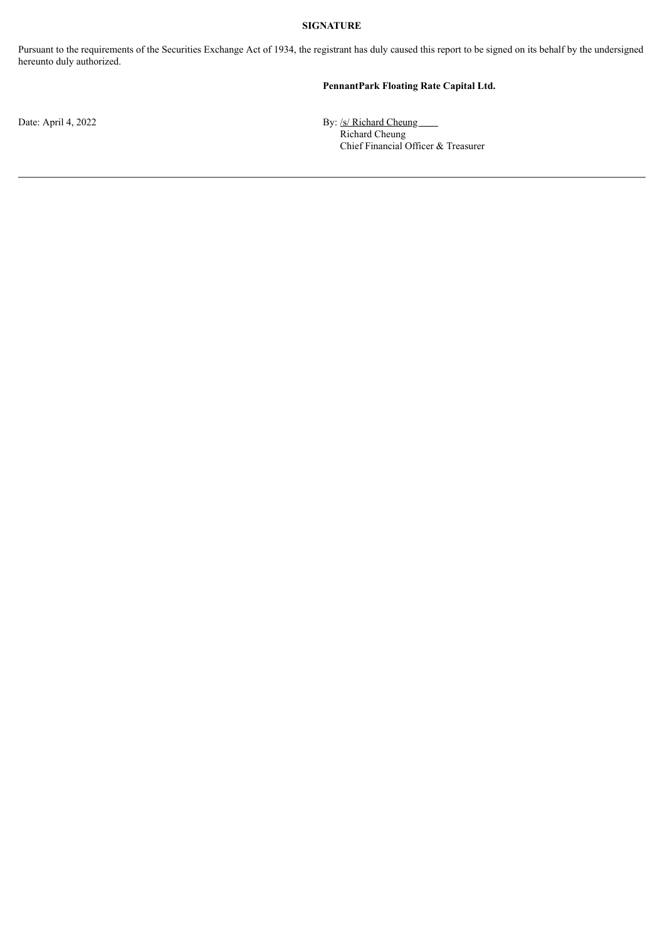### **SIGNATURE**

Pursuant to the requirements of the Securities Exchange Act of 1934, the registrant has duly caused this report to be signed on its behalf by the undersigned hereunto duly authorized.

## **PennantPark Floating Rate Capital Ltd.**

Date: April 4, 2022 By: /s/ Richard Cheung Richard Cheung Chief Financial Officer & Treasurer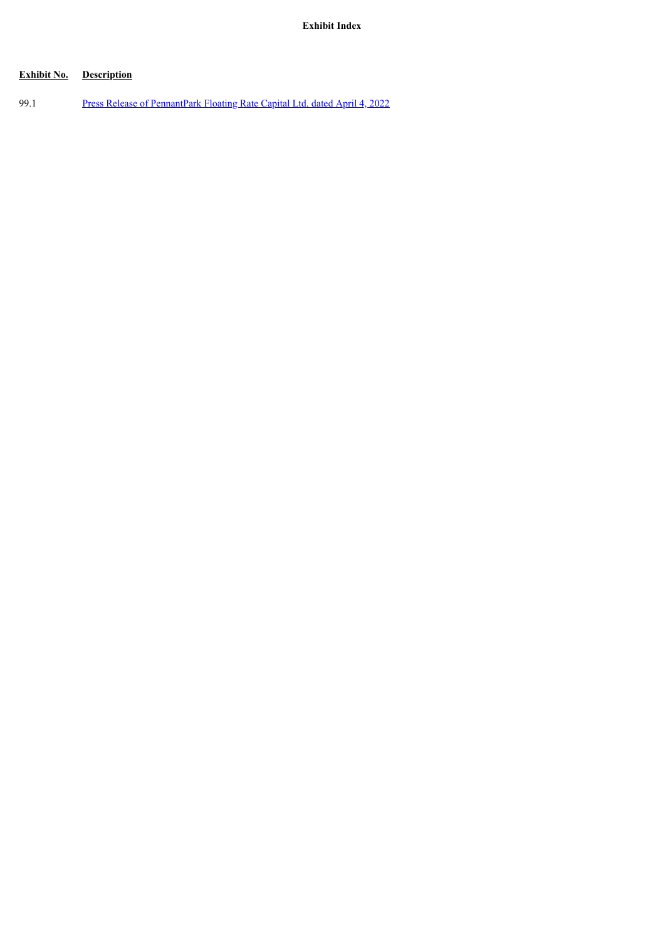# **Exhibit No. Description**

99.1 Press Release of [PennantPark](#page-4-0) Floating Rate Capital Ltd. dated April 4, 2022